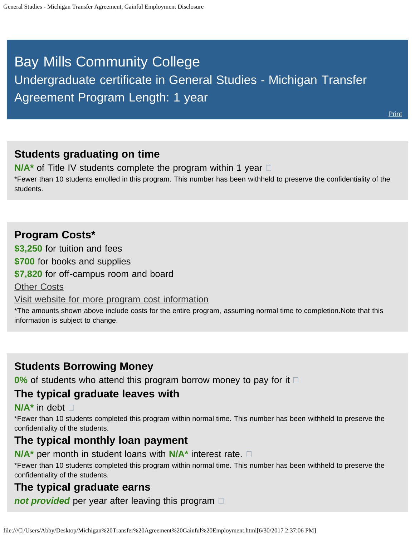# <span id="page-0-0"></span>Bay Mills Community College Undergraduate certificate in General Studies - Michigan Transfer Agreement Program Length: 1 year

**[Print](file:///C|/Users/Abby/Desktop/24.0102-GedtPrint.html)** 

## **Students graduating on time**

**N/A<sup>\*</sup>** of Title IV students complete the program within 1 year  $\Box$ \*Fewer than 10 students enrolled in this program. This number has been withheld to preserve the confidentiality of the students.

## **Program Costs\***

**\$3,250** for tuition and fees

**\$700** for books and supplies

**\$7,820** for off-campus room and board

**[Other Costs](#page-0-0)** 

[Visit website for more program cost information](http://bmcc.edu/admissions/financial-aid/understanding-tuition)

\*The amounts shown above include costs for the entire program, assuming normal time to completion.Note that this information is subject to change.

## **Students Borrowing Money**

**0%** of students who attend this program borrow money to pay for it  $\Box$ 

## **The typical graduate leaves with**

**N/A\*** in debt

\*Fewer than 10 students completed this program within normal time. This number has been withheld to preserve the confidentiality of the students.

## **The typical monthly loan payment**

**N/A\*** per month in student loans with **N/A\*** interest rate.

\*Fewer than 10 students completed this program within normal time. This number has been withheld to preserve the confidentiality of the students.

## **The typical graduate earns**

*not provided* per year after leaving this program  $\Box$